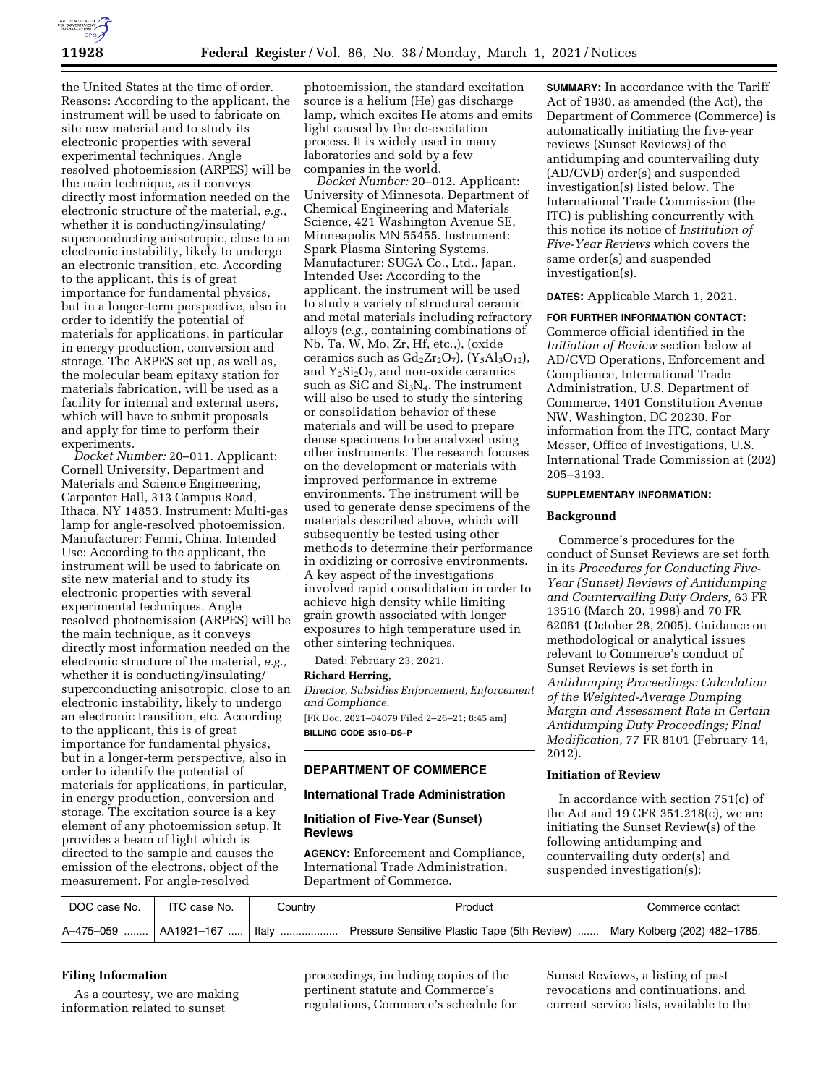

the United States at the time of order. Reasons: According to the applicant, the instrument will be used to fabricate on site new material and to study its electronic properties with several experimental techniques. Angle resolved photoemission (ARPES) will be the main technique, as it conveys directly most information needed on the electronic structure of the material, *e.g.,*  whether it is conducting/insulating/ superconducting anisotropic, close to an electronic instability, likely to undergo an electronic transition, etc. According to the applicant, this is of great importance for fundamental physics, but in a longer-term perspective, also in order to identify the potential of materials for applications, in particular in energy production, conversion and storage. The ARPES set up, as well as, the molecular beam epitaxy station for materials fabrication, will be used as a facility for internal and external users, which will have to submit proposals and apply for time to perform their experiments.

*Docket Number:* 20–011. Applicant: Cornell University, Department and Materials and Science Engineering, Carpenter Hall, 313 Campus Road, Ithaca, NY 14853. Instrument: Multi-gas lamp for angle-resolved photoemission. Manufacturer: Fermi, China. Intended Use: According to the applicant, the instrument will be used to fabricate on site new material and to study its electronic properties with several experimental techniques. Angle resolved photoemission (ARPES) will be the main technique, as it conveys directly most information needed on the electronic structure of the material, *e.g.,*  whether it is conducting/insulating/ superconducting anisotropic, close to an electronic instability, likely to undergo an electronic transition, etc. According to the applicant, this is of great importance for fundamental physics, but in a longer-term perspective, also in order to identify the potential of materials for applications, in particular, in energy production, conversion and storage. The excitation source is a key element of any photoemission setup. It provides a beam of light which is directed to the sample and causes the emission of the electrons, object of the measurement. For angle-resolved

photoemission, the standard excitation source is a helium (He) gas discharge lamp, which excites He atoms and emits light caused by the de-excitation process. It is widely used in many laboratories and sold by a few companies in the world.

*Docket Number:* 20–012. Applicant: University of Minnesota, Department of Chemical Engineering and Materials Science, 421 Washington Avenue SE, Minneapolis MN 55455. Instrument: Spark Plasma Sintering Systems. Manufacturer: SUGA Co., Ltd., Japan. Intended Use: According to the applicant, the instrument will be used to study a variety of structural ceramic and metal materials including refractory alloys (*e.g.,* containing combinations of Nb, Ta, W, Mo, Zr, Hf, etc.,), (oxide ceramics such as  $Gd_2Zr_2O_7$ ,  $(Y_5Al_3O_{12})$ , and  $Y_2Si_2O_7$ , and non-oxide ceramics such as SiC and Si3N4. The instrument will also be used to study the sintering or consolidation behavior of these materials and will be used to prepare dense specimens to be analyzed using other instruments. The research focuses on the development or materials with improved performance in extreme environments. The instrument will be used to generate dense specimens of the materials described above, which will subsequently be tested using other methods to determine their performance in oxidizing or corrosive environments. A key aspect of the investigations involved rapid consolidation in order to achieve high density while limiting grain growth associated with longer exposures to high temperature used in other sintering techniques.

Dated: February 23, 2021.

#### **Richard Herring,**

*Director, Subsidies Enforcement, Enforcement and Compliance.*  [FR Doc. 2021–04079 Filed 2–26–21; 8:45 am] **BILLING CODE 3510–DS–P** 

## **DEPARTMENT OF COMMERCE**

### **International Trade Administration**

### **Initiation of Five-Year (Sunset) Reviews**

**AGENCY:** Enforcement and Compliance, International Trade Administration, Department of Commerce.

**SUMMARY:** In accordance with the Tariff Act of 1930, as amended (the Act), the Department of Commerce (Commerce) is automatically initiating the five-year reviews (Sunset Reviews) of the antidumping and countervailing duty (AD/CVD) order(s) and suspended investigation(s) listed below. The International Trade Commission (the ITC) is publishing concurrently with this notice its notice of *Institution of Five-Year Reviews* which covers the same order(s) and suspended investigation(s).

### **DATES:** Applicable March 1, 2021.

**FOR FURTHER INFORMATION CONTACT:**  Commerce official identified in the *Initiation of Review* section below at AD/CVD Operations, Enforcement and Compliance, International Trade Administration, U.S. Department of Commerce, 1401 Constitution Avenue NW, Washington, DC 20230. For information from the ITC, contact Mary Messer, Office of Investigations, U.S. International Trade Commission at (202) 205–3193.

### **SUPPLEMENTARY INFORMATION:**

### **Background**

Commerce's procedures for the conduct of Sunset Reviews are set forth in its *Procedures for Conducting Five-Year (Sunset) Reviews of Antidumping and Countervailing Duty Orders,* 63 FR 13516 (March 20, 1998) and 70 FR 62061 (October 28, 2005). Guidance on methodological or analytical issues relevant to Commerce's conduct of Sunset Reviews is set forth in *Antidumping Proceedings: Calculation of the Weighted-Average Dumping Margin and Assessment Rate in Certain Antidumping Duty Proceedings; Final Modification,* 77 FR 8101 (February 14, 2012).

# **Initiation of Review**

In accordance with section 751(c) of the Act and 19 CFR 351.218(c), we are initiating the Sunset Review(s) of the following antidumping and countervailing duty order(s) and suspended investigation(s):

| DOC case No. | ITC case No. | Country | Product                                                                                                          | Commerce contact |
|--------------|--------------|---------|------------------------------------------------------------------------------------------------------------------|------------------|
|              |              |         | A-475-059    AA1921-167    Italy    Pressure Sensitive Plastic Tape (5th Review)    Mary Kolberg (202) 482-1785. |                  |

# **Filing Information**

As a courtesy, we are making information related to sunset

proceedings, including copies of the pertinent statute and Commerce's regulations, Commerce's schedule for

Sunset Reviews, a listing of past revocations and continuations, and current service lists, available to the